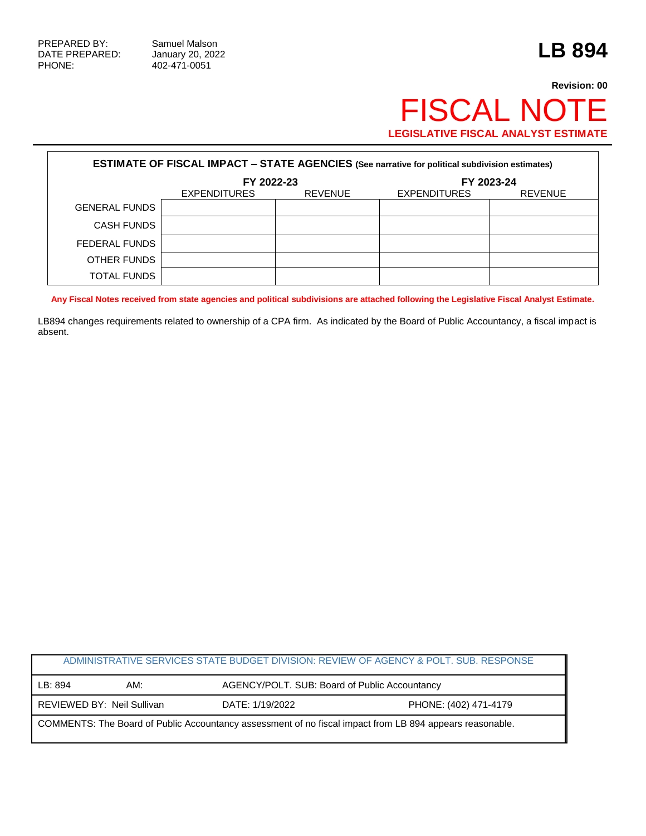PHONE: 402-471-0051

## **Revision: 00** FISCAL NOTE **LEGISLATIVE FISCAL ANALYST ESTIMATE**

| <b>ESTIMATE OF FISCAL IMPACT - STATE AGENCIES (See narrative for political subdivision estimates)</b> |              |                |                     |                |  |
|-------------------------------------------------------------------------------------------------------|--------------|----------------|---------------------|----------------|--|
|                                                                                                       | FY 2022-23   |                | FY 2023-24          |                |  |
|                                                                                                       | EXPENDITURES | <b>REVENUE</b> | <b>EXPENDITURES</b> | <b>REVENUE</b> |  |
| <b>GENERAL FUNDS</b>                                                                                  |              |                |                     |                |  |
| <b>CASH FUNDS</b>                                                                                     |              |                |                     |                |  |
| <b>FEDERAL FUNDS</b>                                                                                  |              |                |                     |                |  |
| OTHER FUNDS                                                                                           |              |                |                     |                |  |
| <b>TOTAL FUNDS</b>                                                                                    |              |                |                     |                |  |

**Any Fiscal Notes received from state agencies and political subdivisions are attached following the Legislative Fiscal Analyst Estimate.**

LB894 changes requirements related to ownership of a CPA firm. As indicated by the Board of Public Accountancy, a fiscal impact is absent.

| ADMINISTRATIVE SERVICES STATE BUDGET DIVISION: REVIEW OF AGENCY & POLT. SUB. RESPONSE                    |                            |                 |                                               |  |  |
|----------------------------------------------------------------------------------------------------------|----------------------------|-----------------|-----------------------------------------------|--|--|
| LB: 894                                                                                                  | AM:                        |                 | AGENCY/POLT. SUB: Board of Public Accountancy |  |  |
|                                                                                                          | REVIEWED BY: Neil Sullivan | DATE: 1/19/2022 | PHONE: (402) 471-4179                         |  |  |
| COMMENTS: The Board of Public Accountancy assessment of no fiscal impact from LB 894 appears reasonable. |                            |                 |                                               |  |  |